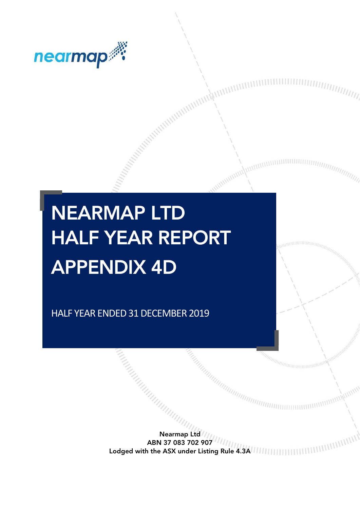

# NEARMAP LTD HALF YEAR REPORT APPENDIX 4D

HALF YEAR ENDED 31 DECEMBER 2019

Nearmap Ltd ABN 37 083 702 907 Lodged with the ASX under Listing Rule 4.3A

Antipappear and the complete of the complete of the complete of the complete of the complete of the complete of

**INNININ**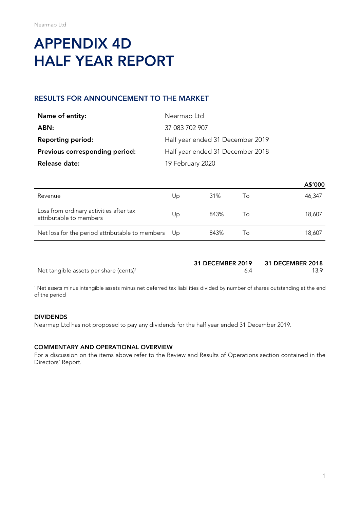## APPENDIX 4D HALF YEAR REPORT

## RESULTS FOR ANNOUNCEMENT TO THE MARKET

| Name of entity:                | Nearmap Ltd                      |
|--------------------------------|----------------------------------|
| ABN:                           | 37 083 702 907                   |
| <b>Reporting period:</b>       | Half year ended 31 December 2019 |
| Previous corresponding period: | Half year ended 31 December 2018 |
| Release date:                  | 19 February 2020                 |

|                                                                    |      |      |    | A\$'000 |
|--------------------------------------------------------------------|------|------|----|---------|
| Revenue                                                            | Up   | 31%  | Τo | 46,347  |
| Loss from ordinary activities after tax<br>attributable to members | Up   | 843% | Τo | 18,607  |
| Net loss for the period attributable to members                    | - Up | 843% | Τo | 18,607  |

|                                                    | <b>31 DECEMBER 2019</b> | <b>31 DECEMBER 2018</b> |
|----------------------------------------------------|-------------------------|-------------------------|
| Net tangible assets per share (cents) <sup>1</sup> |                         | 139                     |

<sup>1</sup> Net assets minus intangible assets minus net deferred tax liabilities divided by number of shares outstanding at the end of the period

#### DIVIDENDS

Nearmap Ltd has not proposed to pay any dividends for the half year ended 31 December 2019.

#### COMMENTARY AND OPERATIONAL OVERVIEW

For a discussion on the items above refer to the Review and Results of Operations section contained in the Directors' Report.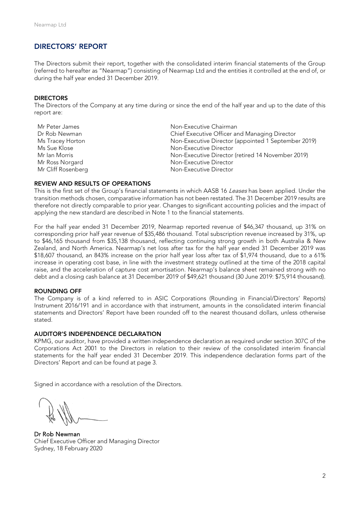#### DIRECTORS' REPORT

The Directors submit their report, together with the consolidated interim financial statements of the Group (referred to hereafter as "Nearmap") consisting of Nearmap Ltd and the entities it controlled at the end of, or during the half year ended 31 December 2019.

#### **DIRECTORS**

The Directors of the Company at any time during or since the end of the half year and up to the date of this report are:

| Mr Peter James     | Non-Executive Chairman                              |
|--------------------|-----------------------------------------------------|
| Dr Rob Newman      | Chief Executive Officer and Managing Director       |
| Ms Tracey Horton   | Non-Executive Director (appointed 1 September 2019) |
| Ms Sue Klose       | Non-Executive Director                              |
| Mr Ian Morris      | Non-Executive Director (retired 14 November 2019)   |
| Mr Ross Norgard    | Non-Executive Director                              |
| Mr Cliff Rosenberg | Non-Executive Director                              |

#### REVIEW AND RESULTS OF OPERATIONS

This is the first set of the Group's financial statements in which AASB 16 Leases has been applied. Under the transition methods chosen, comparative information has not been restated. The 31 December 2019 results are therefore not directly comparable to prior year. Changes to significant accounting policies and the impact of applying the new standard are described in Note 1 to the financial statements.

For the half year ended 31 December 2019, Nearmap reported revenue of \$46,347 thousand, up 31% on corresponding prior half year revenue of \$35,486 thousand. Total subscription revenue increased by 31%, up to \$46,165 thousand from \$35,138 thousand, reflecting continuing strong growth in both Australia & New Zealand, and North America. Nearmap's net loss after tax for the half year ended 31 December 2019 was \$18,607 thousand, an 843% increase on the prior half year loss after tax of \$1,974 thousand, due to a 61% increase in operating cost base, in line with the investment strategy outlined at the time of the 2018 capital raise, and the acceleration of capture cost amortisation. Nearmap's balance sheet remained strong with no debt and a closing cash balance at 31 December 2019 of \$49,621 thousand (30 June 2019: \$75,914 thousand).

#### ROUNDING OFF

The Company is of a kind referred to in ASIC Corporations (Rounding in Financial/Directors' Reports) Instrument 2016/191 and in accordance with that instrument, amounts in the consolidated interim financial statements and Directors' Report have been rounded off to the nearest thousand dollars, unless otherwise stated.

#### AUDITOR'S INDEPENDENCE DECLARATION

KPMG, our auditor, have provided a written independence declaration as required under section 307C of the Corporations Act 2001 to the Directors in relation to their review of the consolidated interim financial statements for the half year ended 31 December 2019. This independence declaration forms part of the Directors' Report and can be found at page 3.

Signed in accordance with a resolution of the Directors.

Dr Rob Newman Chief Executive Officer and Managing Director Sydney, 18 February 2020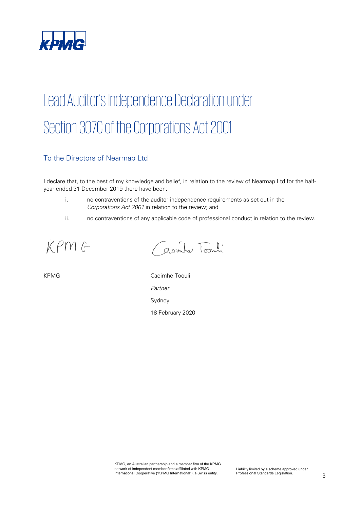

# Lead Auditor's Independence Declaration under Section 307C of the Corporations Act 2001

## To the Directors of Nearmap Ltd

I declare that, to the best of my knowledge and belief, in relation to the review of Nearmap Ltd for the halfyear ended 31 December 2019 there have been:

- i. no contraventions of the auditor independence requirements as set out in the *Corporations Act 2001* in relation to the review; and
- ii. no contraventions of any applicable code of professional conduct in relation to the review.

KPMG

avinte Toonli

KPMG Caoimhe Toouli *Partner* Sydney 18 February 2020

> KPMG, an Australian partnership and a member firm of the KPMG network of independent member firms affiliated with KPMG International Cooperative ("KPMG International"), a Swiss entity.

Liability limited by a scheme approved under Professional Standards Legislation.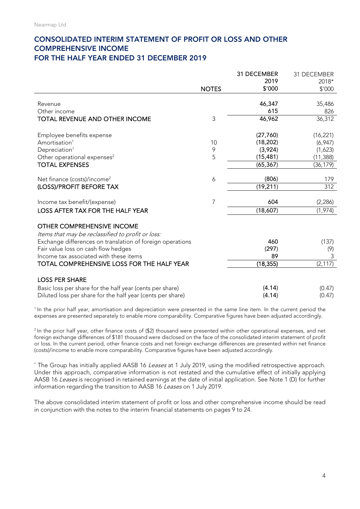#### CONSOLIDATED INTERIM STATEMENT OF PROFIT OR LOSS AND OTHER COMPREHENSIVE INCOME FOR THE HALF YEAR ENDED 31 DECEMBER 2019

|                                                                                        |                | 31 DECEMBER | 31 DECEMBER |
|----------------------------------------------------------------------------------------|----------------|-------------|-------------|
|                                                                                        |                | 2019        | 2018*       |
|                                                                                        | <b>NOTES</b>   | \$'000      | \$'000      |
|                                                                                        |                |             |             |
| Revenue                                                                                |                | 46,347      | 35,486      |
| Other income                                                                           |                | 615         | 826         |
| TOTAL REVENUE AND OTHER INCOME                                                         | 3              | 46,962      | 36,312      |
| Employee benefits expense                                                              |                | (27,760)    | (16, 221)   |
| Amortisation <sup>1</sup>                                                              | 10             | (18, 202)   | (6,947)     |
| Depreciation <sup>1</sup>                                                              | 9              | (3,924)     | (1,623)     |
| Other operational expenses <sup>2</sup>                                                | 5              | (15, 481)   | (11, 388)   |
| <b>TOTAL EXPENSES</b>                                                                  |                | (65, 367)   | (36, 179)   |
|                                                                                        |                |             |             |
| Net finance (costs)/income <sup>2</sup>                                                | 6              | (806)       | 179         |
| (LOSS)/PROFIT BEFORE TAX                                                               |                | (19, 211)   | 312         |
| Income tax benefit/(expense)                                                           | $\overline{7}$ | 604         | (2, 286)    |
| <b>LOSS AFTER TAX FOR THE HALF YEAR</b>                                                |                | (18,607)    | (1, 974)    |
| <b>OTHER COMPREHENSIVE INCOME</b><br>Items that may be reclassified to profit or loss: |                |             |             |
| Exchange differences on translation of foreign operations                              |                | 460         | (137)       |
| Fair value loss on cash flow hedges                                                    |                | (297)       | (9)         |
| Income tax associated with these items                                                 |                | 89          | 3           |
| TOTAL COMPREHENSIVE LOSS FOR THE HALF YEAR                                             |                | (18, 355)   | (2, 117)    |
| <b>LOSS PER SHARE</b>                                                                  |                |             |             |
|                                                                                        |                |             |             |
| Basic loss per share for the half year (cents per share)                               |                | (4.14)      | (0.47)      |
| Diluted loss per share for the half year (cents per share)                             |                | (4.14)      | (0.47)      |

<sup>1</sup> In the prior half year, amortisation and depreciation were presented in the same line item. In the current period the expenses are presented separately to enable more comparability. Comparative figures have been adjusted accordingly.

<sup>2</sup> In the prior half year, other finance costs of (\$2) thousand were presented within other operational expenses, and net foreign exchange differences of \$181 thousand were disclosed on the face of the consolidated interim statement of profit or loss. In the current period, other finance costs and net foreign exchange differences are presented within net finance (costs)/income to enable more comparability. Comparative figures have been adjusted accordingly.

\* The Group has initially applied AASB 16 Leases at 1 July 2019, using the modified retrospective approach. Under this approach, comparative information is not restated and the cumulative effect of initially applying AASB 16 Leases is recognised in retained earnings at the date of initial application. See Note 1 (D) for further information regarding the transition to AASB 16 Leases on 1 July 2019.

The above consolidated interim statement of profit or loss and other comprehensive income should be read in conjunction with the notes to the interim financial statements on pages 9 to 24.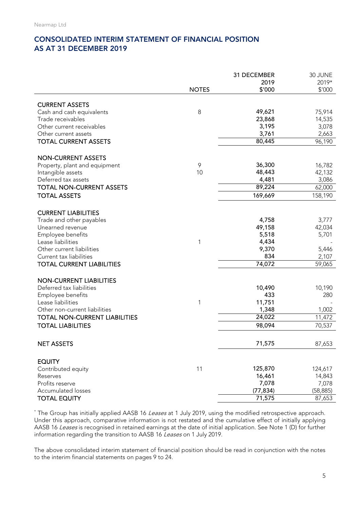## CONSOLIDATED INTERIM STATEMENT OF FINANCIAL POSITION AS AT 31 DECEMBER 2019

|                                        |              | 31 DECEMBER   | 30 JUNE   |
|----------------------------------------|--------------|---------------|-----------|
|                                        |              | 2019          | 2019*     |
|                                        | <b>NOTES</b> | \$'000        | \$'000    |
| <b>CURRENT ASSETS</b>                  |              |               |           |
| Cash and cash equivalents              | 8            | 49,621        | 75,914    |
| Trade receivables                      |              | 23,868        | 14,535    |
| Other current receivables              |              | 3,195         | 3,078     |
| Other current assets                   |              | 3,761         | 2,663     |
| <b>TOTAL CURRENT ASSETS</b>            |              | 80,445        | 96,190    |
|                                        |              |               |           |
| <b>NON-CURRENT ASSETS</b>              |              |               |           |
| Property, plant and equipment          | 9            | 36,300        | 16,782    |
| Intangible assets                      | 10           | 48,443        | 42,132    |
| Deferred tax assets                    |              | 4,481         | 3,086     |
| <b>TOTAL NON-CURRENT ASSETS</b>        |              | 89,224        | 62,000    |
| <b>TOTAL ASSETS</b>                    |              | 169,669       | 158,190   |
|                                        |              |               |           |
| <b>CURRENT LIABILITIES</b>             |              |               |           |
| Trade and other payables               |              | 4,758         | 3,777     |
| Unearned revenue                       |              | 49,158        | 42,034    |
| Employee benefits                      |              | 5,518         | 5,701     |
| Lease liabilities                      | 1            | 4,434         |           |
| Other current liabilities              |              | 9,370         | 5,446     |
| Current tax liabilities                |              | 834           | 2,107     |
| <b>TOTAL CURRENT LIABILITIES</b>       |              | 74,072        | 59,065    |
|                                        |              |               |           |
| <b>NON-CURRENT LIABILITIES</b>         |              |               |           |
| Deferred tax liabilities               |              | 10,490<br>433 | 10,190    |
| Employee benefits<br>Lease liabilities |              | 11,751        | 280       |
| Other non-current liabilities          | 1            | 1,348         | 1,002     |
| <b>TOTAL NON-CURRENT LIABILITIES</b>   |              | 24,022        | 11,472    |
|                                        |              |               |           |
| <b>TOTAL LIABILITIES</b>               |              | 98,094        | 70,537    |
| <b>NET ASSETS</b>                      |              | 71,575        | 87,653    |
|                                        |              |               |           |
| <b>EQUITY</b>                          |              |               |           |
| Contributed equity                     | 11           | 125,870       | 124,617   |
| Reserves                               |              | 16,461        | 14,843    |
| Profits reserve                        |              | 7,078         | 7,078     |
| Accumulated losses                     |              | (77, 834)     | (58, 885) |
| <b>TOTAL EQUITY</b>                    |              | 71,575        | 87,653    |

\* The Group has initially applied AASB 16 Leases at 1 July 2019, using the modified retrospective approach. Under this approach, comparative information is not restated and the cumulative effect of initially applying AASB 16 Leases is recognised in retained earnings at the date of initial application. See Note 1 (D) for further information regarding the transition to AASB 16 Leases on 1 July 2019.

The above consolidated interim statement of financial position should be read in conjunction with the notes to the interim financial statements on pages 9 to 24.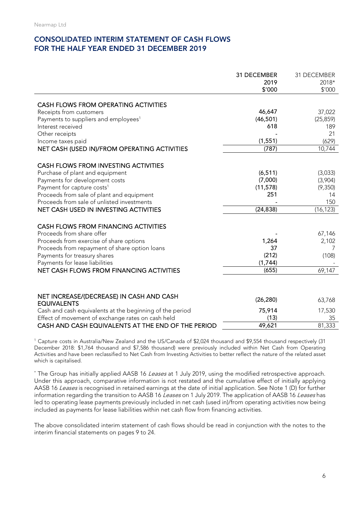## CONSOLIDATED INTERIM STATEMENT OF CASH FLOWS FOR THE HALF YEAR ENDED 31 DECEMBER 2019

|                                                          | 31 DECEMBER<br>2019<br>\$'000 | 31 DECEMBER<br>2018*<br>\$'000 |
|----------------------------------------------------------|-------------------------------|--------------------------------|
|                                                          |                               |                                |
| CASH FLOWS FROM OPERATING ACTIVITIES                     |                               |                                |
| Receipts from customers                                  | 46,647                        | 37,022                         |
| Payments to suppliers and employees <sup>1</sup>         | (46, 501)                     | (25, 859)                      |
| Interest received                                        | 618                           | 189                            |
| Other receipts                                           |                               | 21                             |
| Income taxes paid                                        | (1, 551)                      | (629)                          |
| NET CASH (USED IN)/FROM OPERATING ACTIVITIES             | (787)                         | 10,744                         |
| <b>CASH FLOWS FROM INVESTING ACTIVITIES</b>              |                               |                                |
| Purchase of plant and equipment                          | (6, 511)                      | (3,033)                        |
| Payments for development costs                           | (7,000)                       | (3,904)                        |
| Payment for capture costs <sup>1</sup>                   | (11, 578)                     | (9,350)                        |
| Proceeds from sale of plant and equipment                | 251                           | 14                             |
| Proceeds from sale of unlisted investments               |                               | 150                            |
| NET CASH USED IN INVESTING ACTIVITIES                    | (24, 838)                     | (16, 123)                      |
|                                                          |                               |                                |
| <b>CASH FLOWS FROM FINANCING ACTIVITIES</b>              |                               |                                |
| Proceeds from share offer                                |                               | 67,146                         |
| Proceeds from exercise of share options                  | 1,264                         | 2,102                          |
| Proceeds from repayment of share option loans            | 37                            | 7                              |
| Payments for treasury shares                             | (212)                         | (108)                          |
| Payments for lease liabilities                           | (1,744)                       |                                |
| NET CASH FLOWS FROM FINANCING ACTIVITIES                 | (655)                         | 69,147                         |
|                                                          |                               |                                |
| NET INCREASE/(DECREASE) IN CASH AND CASH                 |                               |                                |
| <b>EQUIVALENTS</b>                                       | (26, 280)                     | 63,768                         |
| Cash and cash equivalents at the beginning of the period | 75,914                        | 17,530                         |
| Effect of movement of exchange rates on cash held        | (13)                          | 35                             |
| CASH AND CASH EQUIVALENTS AT THE END OF THE PERIOD       | 49,621                        | 81,333                         |

<sup>1</sup> Capture costs in Australia/New Zealand and the US/Canada of \$2,024 thousand and \$9,554 thousand respectively (31 December 2018: \$1,764 thousand and \$7,586 thousand) were previously included within Net Cash from Operating Activities and have been reclassified to Net Cash from Investing Activities to better reflect the nature of the related asset which is capitalised.

\* The Group has initially applied AASB 16 Leases at 1 July 2019, using the modified retrospective approach. Under this approach, comparative information is not restated and the cumulative effect of initially applying AASB 16 Leases is recognised in retained earnings at the date of initial application. See Note 1 (D) for further information regarding the transition to AASB 16 Leases on 1 July 2019. The application of AASB 16 Leases has led to operating lease payments previously included in net cash (used in)/from operating activities now being included as payments for lease liabilities within net cash flow from financing activities.

The above consolidated interim statement of cash flows should be read in conjunction with the notes to the interim financial statements on pages 9 to 24.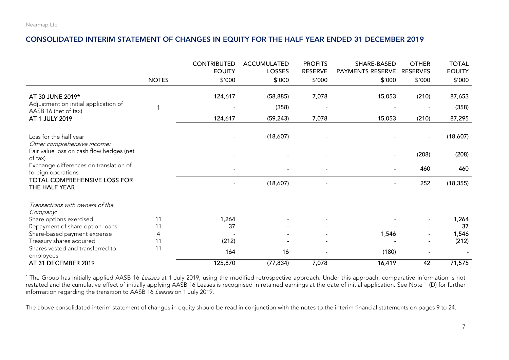#### CONSOLIDATED INTERIM STATEMENT OF CHANGES IN EQUITY FOR THE HALF YEAR ENDED 31 DECEMBER 2019

|                                                              |              | <b>CONTRIBUTED</b><br><b>EQUITY</b> | <b>ACCUMULATED</b><br><b>LOSSES</b> | <b>PROFITS</b><br><b>RESERVE</b> | SHARE-BASED<br>PAYMENTS RESERVE | <b>OTHER</b><br><b>RESERVES</b> | <b>TOTAL</b><br><b>EQUITY</b> |
|--------------------------------------------------------------|--------------|-------------------------------------|-------------------------------------|----------------------------------|---------------------------------|---------------------------------|-------------------------------|
|                                                              | <b>NOTES</b> | \$′000                              | \$'000                              | \$'000                           | \$'000                          | \$'000                          | \$'000                        |
| AT 30 JUNE 2019*                                             |              | 124,617                             | (58, 885)                           | 7,078                            | 15,053                          | (210)                           | 87,653                        |
| Adjustment on initial application of<br>AASB 16 (net of tax) |              |                                     | (358)                               |                                  |                                 |                                 | (358)                         |
| AT 1 JULY 2019                                               |              | 124,617                             | (59, 243)                           | 7,078                            | 15,053                          | (210)                           | 87,295                        |
| Loss for the half year<br>Other comprehensive income:        |              |                                     | (18,607)                            |                                  |                                 |                                 | (18,607)                      |
| Fair value loss on cash flow hedges (net<br>of tax)          |              |                                     |                                     |                                  |                                 | (208)                           | (208)                         |
| Exchange differences on translation of<br>foreign operations |              |                                     |                                     |                                  |                                 | 460                             | 460                           |
| <b>TOTAL COMPREHENSIVE LOSS FOR</b><br>THE HALF YEAR         |              |                                     | (18,607)                            |                                  |                                 | 252                             | (18, 355)                     |
| Transactions with owners of the<br>Company:                  |              |                                     |                                     |                                  |                                 |                                 |                               |
| Share options exercised                                      | 11           | 1,264                               |                                     |                                  |                                 |                                 | 1,264                         |
| Repayment of share option loans                              | 11           | 37                                  |                                     |                                  |                                 |                                 | 37                            |
| Share-based payment expense                                  | 4            |                                     |                                     |                                  | 1,546                           |                                 | 1,546                         |
| Treasury shares acquired                                     | 11           | (212)                               |                                     |                                  |                                 |                                 | (212)                         |
| Shares vested and transferred to<br>employees                | 11           | 164                                 | 16                                  |                                  | (180)                           |                                 |                               |
| AT 31 DECEMBER 2019                                          |              | 125,870                             | (77, 834)                           | 7,078                            | 16,419                          | 42                              | 71,575                        |

\* The Group has initially applied AASB 16 Leases at 1 July 2019, using the modified retrospective approach. Under this approach, comparative information is not restated and the cumulative effect of initially applying AASB 16 Leases is recognised in retained earnings at the date of initial application. See Note 1 (D) for further information regarding the transition to AASB 16 Leases on 1 July 2019.

The above consolidated interim statement of changes in equity should be read in conjunction with the notes to the interim financial statements on pages 9 to 24.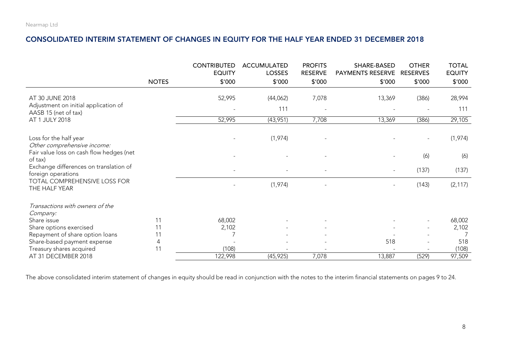#### CONSOLIDATED INTERIM STATEMENT OF CHANGES IN EQUITY FOR THE HALF YEAR ENDED 31 DECEMBER 2018

|                                                                                                               |              | <b>CONTRIBUTED</b><br><b>EQUITY</b> | <b>ACCUMULATED</b><br><b>LOSSES</b> | <b>PROFITS</b><br><b>RESERVE</b> | SHARE-BASED<br>PAYMENTS RESERVE | <b>OTHER</b><br><b>RESERVES</b> | <b>TOTAL</b><br><b>EQUITY</b> |
|---------------------------------------------------------------------------------------------------------------|--------------|-------------------------------------|-------------------------------------|----------------------------------|---------------------------------|---------------------------------|-------------------------------|
|                                                                                                               | <b>NOTES</b> | \$'000                              | \$′000                              | \$'000                           | \$'000                          | \$′000                          | \$′000                        |
| AT 30 JUNE 2018                                                                                               |              | 52,995                              | (44,062)                            | 7,078                            | 13,369                          | (386)                           | 28,994                        |
| Adjustment on initial application of<br>AASB 15 (net of tax)                                                  |              |                                     | 111                                 |                                  |                                 |                                 | 111                           |
| AT 1 JULY 2018                                                                                                |              | 52,995                              | (43,951)                            | 7,708                            | 13,369                          | (386)                           | 29,105                        |
| Loss for the half year<br>Other comprehensive income:                                                         |              |                                     | (1, 974)                            |                                  |                                 |                                 | (1, 974)                      |
| Fair value loss on cash flow hedges (net<br>of tax)                                                           |              |                                     |                                     |                                  |                                 | (6)                             | (6)                           |
| Exchange differences on translation of<br>foreign operations<br>TOTAL COMPREHENSIVE LOSS FOR<br>THE HALF YEAR |              |                                     |                                     |                                  |                                 | (137)                           | (137)                         |
|                                                                                                               |              |                                     | (1,974)                             |                                  |                                 | (143)                           | (2, 117)                      |
| Transactions with owners of the<br>Company:                                                                   |              |                                     |                                     |                                  |                                 |                                 |                               |
| Share issue                                                                                                   | 11           | 68,002                              |                                     |                                  |                                 |                                 | 68,002                        |
| Share options exercised                                                                                       | 11           | 2,102                               |                                     |                                  |                                 |                                 | 2,102                         |
| Repayment of share option loans                                                                               | 11           |                                     |                                     |                                  |                                 |                                 |                               |
| Share-based payment expense                                                                                   | 4            |                                     |                                     |                                  | 518                             |                                 | 518                           |
| Treasury shares acquired                                                                                      | 11           | (108)                               |                                     |                                  |                                 |                                 | (108)                         |
| AT 31 DECEMBER 2018                                                                                           |              | 122,998                             | (45, 925)                           | 7,078                            | 13,887                          | (529)                           | 97,509                        |

The above consolidated interim statement of changes in equity should be read in conjunction with the notes to the interim financial statements on pages 9 to 24.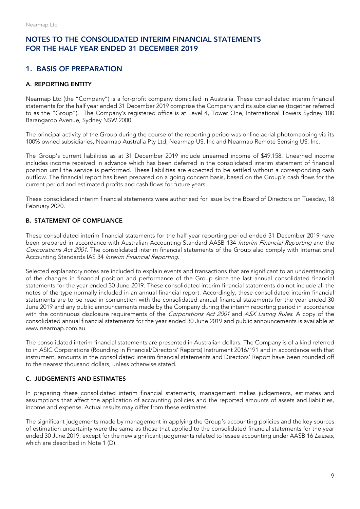## 1. BASIS OF PREPARATION

#### A. REPORTING ENTITY

Nearmap Ltd (the "Company") is a for-profit company domiciled in Australia. These consolidated interim financial statements for the half year ended 31 December 2019 comprise the Company and its subsidiaries (together referred to as the "Group"). The Company's registered office is at Level 4, Tower One, International Towers Sydney 100 Barangaroo Avenue, Sydney NSW 2000.

The principal activity of the Group during the course of the reporting period was online aerial photomapping via its 100% owned subsidiaries, Nearmap Australia Pty Ltd, Nearmap US, Inc and Nearmap Remote Sensing US, Inc.

The Group's current liabilities as at 31 December 2019 include unearned income of \$49,158. Unearned income includes income received in advance which has been deferred in the consolidated interim statement of financial position until the service is performed. These liabilities are expected to be settled without a corresponding cash outflow. The financial report has been prepared on a going concern basis, based on the Group's cash flows for the current period and estimated profits and cash flows for future years.

These consolidated interim financial statements were authorised for issue by the Board of Directors on Tuesday, 18 February 2020.

#### B. STATEMENT OF COMPLIANCE

These consolidated interim financial statements for the half year reporting period ended 31 December 2019 have been prepared in accordance with Australian Accounting Standard AASB 134 Interim Financial Reporting and the Corporations Act 2001. The consolidated interim financial statements of the Group also comply with International Accounting Standards IAS 34 Interim Financial Reporting.

Selected explanatory notes are included to explain events and transactions that are significant to an understanding of the changes in financial position and performance of the Group since the last annual consolidated financial statements for the year ended 30 June 2019. These consolidated interim financial statements do not include all the notes of the type normally included in an annual financial report. Accordingly, these consolidated interim financial statements are to be read in conjunction with the consolidated annual financial statements for the year ended 30 June 2019 and any public announcements made by the Company during the interim reporting period in accordance with the continuous disclosure requirements of the Corporations Act 2001 and ASX Listing Rules. A copy of the consolidated annual financial statements for the year ended 30 June 2019 and public announcements is available at www.nearmap.com.au.

The consolidated interim financial statements are presented in Australian dollars. The Company is of a kind referred to in ASIC Corporations (Rounding in Financial/Directors' Reports) Instrument 2016/191 and in accordance with that instrument, amounts in the consolidated interim financial statements and Directors' Report have been rounded off to the nearest thousand dollars, unless otherwise stated.

#### C. JUDGEMENTS AND ESTIMATES

In preparing these consolidated interim financial statements, management makes judgements, estimates and assumptions that affect the application of accounting policies and the reported amounts of assets and liabilities, income and expense. Actual results may differ from these estimates.

The significant judgements made by management in applying the Group's accounting policies and the key sources of estimation uncertainty were the same as those that applied to the consolidated financial statements for the year ended 30 June 2019, except for the new significant judgements related to lessee accounting under AASB 16 Leases, which are described in Note 1 (D).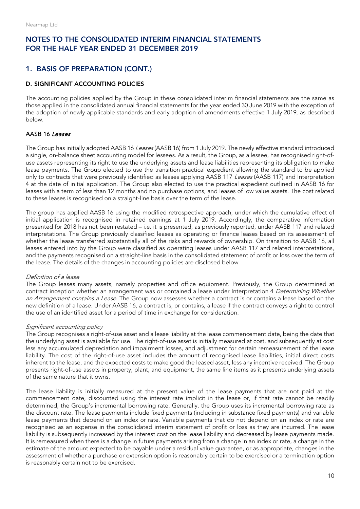## 1. BASIS OF PREPARATION (CONT.)

#### D. SIGNIFICANT ACCOUNTING POLICIES

The accounting policies applied by the Group in these consolidated interim financial statements are the same as those applied in the consolidated annual financial statements for the year ended 30 June 2019 with the exception of the adoption of newly applicable standards and early adoption of amendments effective 1 July 2019, as described below.

#### AASB 16 Leases

The Group has initially adopted AASB 16 Leases (AASB 16) from 1 July 2019. The newly effective standard introduced a single, on-balance sheet accounting model for lessees. As a result, the Group, as a lessee, has recognised right-ofuse assets representing its right to use the underlying assets and lease liabilities representing its obligation to make lease payments. The Group elected to use the transition practical expedient allowing the standard to be applied only to contracts that were previously identified as leases applying AASB 117 Leases (AASB 117) and Interpretation 4 at the date of initial application. The Group also elected to use the practical expedient outlined in AASB 16 for leases with a term of less than 12 months and no purchase options, and leases of low value assets. The cost related to these leases is recognised on a straight-line basis over the term of the lease.

The group has applied AASB 16 using the modified retrospective approach, under which the cumulative effect of initial application is recognised in retained earnings at 1 July 2019. Accordingly, the comparative information presented for 2018 has not been restated – i.e. it is presented, as previously reported, under AASB 117 and related interpretations. The Group previously classified leases as operating or finance leases based on its assessment of whether the lease transferred substantially all of the risks and rewards of ownership. On transition to AASB 16, all leases entered into by the Group were classified as operating leases under AASB 117 and related interpretations, and the payments recognised on a straight-line basis in the consolidated statement of profit or loss over the term of the lease. The details of the changes in accounting policies are disclosed below.

#### Definition of a lease

The Group leases many assets, namely properties and office equipment. Previously, the Group determined at contract inception whether an arrangement was or contained a lease under Interpretation 4 Determining Whether an Arrangement contains a Lease. The Group now assesses whether a contract is or contains a lease based on the new definition of a lease. Under AASB 16, a contract is, or contains, a lease if the contract conveys a right to control the use of an identified asset for a period of time in exchange for consideration.

#### Significant accounting policy

The Group recognises a right-of-use asset and a lease liability at the lease commencement date, being the date that the underlying asset is available for use. The right-of-use asset is initially measured at cost, and subsequently at cost less any accumulated depreciation and impairment losses, and adjustment for certain remeasurement of the lease liability. The cost of the right-of-use asset includes the amount of recognised lease liabilities, initial direct costs inherent to the lease, and the expected costs to make good the leased asset, less any incentive received. The Group presents right-of-use assets in property, plant, and equipment, the same line items as it presents underlying assets of the same nature that it owns.

The lease liability is initially measured at the present value of the lease payments that are not paid at the commencement date, discounted using the interest rate implicit in the lease or, if that rate cannot be readily determined, the Group's incremental borrowing rate. Generally, the Group uses its incremental borrowing rate as the discount rate. The lease payments include fixed payments (including in substance fixed payments) and variable lease payments that depend on an index or rate. Variable payments that do not depend on an index or rate are recognised as an expense in the consolidated interim statement of profit or loss as they are incurred. The lease liability is subsequently increased by the interest cost on the lease liability and decreased by lease payments made. It is remeasured when there is a change in future payments arising from a change in an index or rate, a change in the estimate of the amount expected to be payable under a residual value guarantee, or as appropriate, changes in the assessment of whether a purchase or extension option is reasonably certain to be exercised or a termination option is reasonably certain not to be exercised.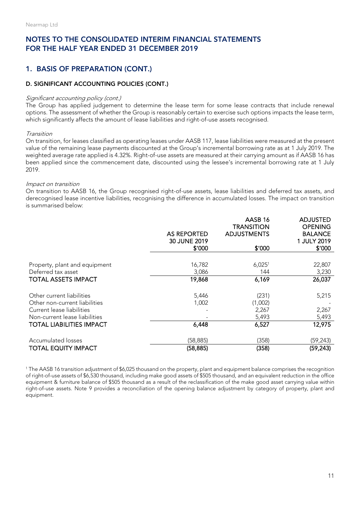## 1. BASIS OF PREPARATION (CONT.)

#### D. SIGNIFICANT ACCOUNTING POLICIES (CONT.)

#### Significant accounting policy (cont.)

The Group has applied judgement to determine the lease term for some lease contracts that include renewal options. The assessment of whether the Group is reasonably certain to exercise such options impacts the lease term, which significantly affects the amount of lease liabilities and right-of-use assets recognised.

#### Transition

On transition, for leases classified as operating leases under AASB 117, lease liabilities were measured at the present value of the remaining lease payments discounted at the Group's incremental borrowing rate as at 1 July 2019. The weighted average rate applied is 4.32%. Right-of-use assets are measured at their carrying amount as if AASB 16 has been applied since the commencement date, discounted using the lessee's incremental borrowing rate at 1 July 2019.

#### Impact on transition

On transition to AASB 16, the Group recognised right-of-use assets, lease liabilities and deferred tax assets, and derecognised lease incentive liabilities, recognising the difference in accumulated losses. The impact on transition is summarised below:

|                                 | AS REPORTED<br>30 JUNE 2019<br>\$′000 | AASB 16<br><b>TRANSITION</b><br><b>ADJUSTMENTS</b><br>\$′000 | <b>ADJUSTED</b><br><b>OPENING</b><br><b>BALANCE</b><br>1 JULY 2019<br>\$′000 |
|---------------------------------|---------------------------------------|--------------------------------------------------------------|------------------------------------------------------------------------------|
|                                 |                                       |                                                              |                                                                              |
| Property, plant and equipment   | 16,782                                | $6,025$ <sup>1</sup>                                         | 22,807                                                                       |
| Deferred tax asset              | 3,086                                 | 144                                                          | 3,230                                                                        |
| <b>TOTAL ASSETS IMPACT</b>      | 19,868                                | 6,169                                                        | 26,037                                                                       |
| Other current liabilities       | 5,446                                 | (231)                                                        | 5,215                                                                        |
| Other non-current liabilities   | 1,002                                 | (1,002)                                                      |                                                                              |
| Current lease liabilities       |                                       | 2,267                                                        | 2,267                                                                        |
| Non-current lease liabilities   |                                       | 5,493                                                        | 5,493                                                                        |
| <b>TOTAL LIABILITIES IMPACT</b> | 6,448                                 | 6,527                                                        | 12,975                                                                       |
| Accumulated losses              | (58, 885)                             | (358)                                                        | (59, 243)                                                                    |
| <b>TOTAL EQUITY IMPACT</b>      | (58, 885)                             | (358)                                                        | (59, 243)                                                                    |

<sup>1</sup> The AASB 16 transition adjustment of \$6,025 thousand on the property, plant and equipment balance comprises the recognition of right-of-use assets of \$6,530 thousand, including make good assets of \$505 thousand, and an equivalent reduction in the office equipment & furniture balance of \$505 thousand as a result of the reclassification of the make good asset carrying value within right-of-use assets. Note 9 provides a reconciliation of the opening balance adjustment by category of property, plant and equipment.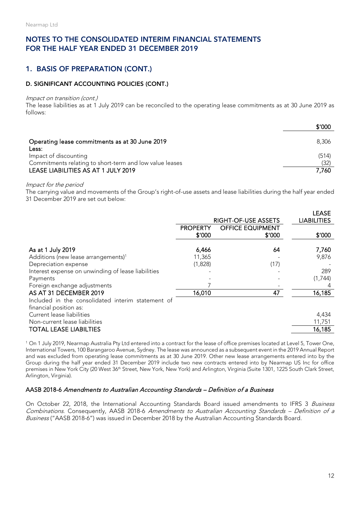## 1. BASIS OF PREPARATION (CONT.)

#### D. SIGNIFICANT ACCOUNTING POLICIES (CONT.)

#### Impact on transition (cont.)

The lease liabilities as at 1 July 2019 can be reconciled to the operating lease commitments as at 30 June 2019 as follows:

|                                                                                  | \$′000        |
|----------------------------------------------------------------------------------|---------------|
| Operating lease commitments as at 30 June 2019<br>Less:                          | 8,306         |
| Impact of discounting<br>Commitments relating to short-term and low value leases | (514)<br>(32) |
| LEASE LIABILITIES AS AT 1 JULY 2019                                              | 7,760         |

#### Impact for the period

The carrying value and movements of the Group's right-of-use assets and lease liabilities during the half year ended 31 December 2019 are set out below:

|                                                    |                 |                         | <b>LEASE</b>       |
|----------------------------------------------------|-----------------|-------------------------|--------------------|
|                                                    |                 | RIGHT-OF-USE ASSETS     | <b>LIABILITIES</b> |
|                                                    | <b>PROPERTY</b> | <b>OFFICE EQUIPMENT</b> |                    |
|                                                    | \$'000          | \$′000                  | \$′000             |
|                                                    |                 |                         |                    |
| As at 1 July 2019                                  | 6,466           | 64                      | 7,760              |
| Additions (new lease arrangements) <sup>1</sup>    | 11,365          |                         | 9,876              |
| Depreciation expense                               | (1,828)         | (17)                    |                    |
| Interest expense on unwinding of lease liabilities |                 |                         | 289                |
| Payments                                           |                 |                         | (1,744)            |
| Foreign exchange adjustments                       |                 |                         |                    |
| AS AT 31 DECEMBER 2019                             | 16,010          | 47                      | 16,185             |
| Included in the consolidated interim statement of  |                 |                         |                    |
| financial position as:                             |                 |                         |                    |
| Current lease liabilities                          |                 |                         | 4,434              |
| Non-current lease liabilities                      |                 |                         | 11,751             |
| <b>TOTAL LEASE LIABILTIES</b>                      |                 |                         | 16,185             |
|                                                    |                 |                         |                    |

1 On 1 July 2019, Nearmap Australia Pty Ltd entered into a contract for the lease of office premises located at Level 5, Tower One, International Towers, 100 Barangaroo Avenue, Sydney. The lease was announced as a subsequent event in the 2019 Annual Report and was excluded from operating lease commitments as at 30 June 2019. Other new lease arrangements entered into by the Group during the half year ended 31 December 2019 include two new contracts entered into by Nearmap US Inc for office premises in New York City (20 West 36<sup>th</sup> Street, New York, New York) and Arlington, Virginia (Suite 1301, 1225 South Clark Street, Arlington, Virginia).

#### AASB 2018-6 Amendments to Australian Accounting Standards – Definition of a Business

On October 22, 2018, the International Accounting Standards Board issued amendments to IFRS 3 Business Combinations. Consequently, AASB 2018-6 Amendments to Australian Accounting Standards – Definition of a Business ("AASB 2018-6") was issued in December 2018 by the Australian Accounting Standards Board.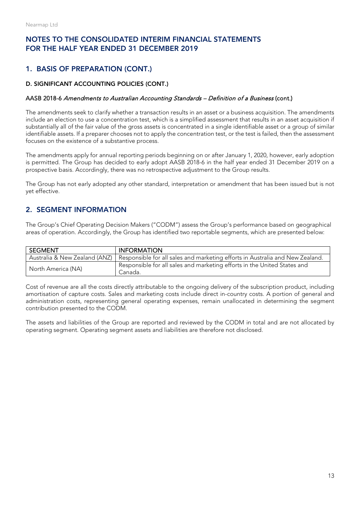## 1. BASIS OF PREPARATION (CONT.)

#### D. SIGNIFICANT ACCOUNTING POLICIES (CONT.)

#### AASB 2018-6 Amendments to Australian Accounting Standards – Definition of a Business (cont.)

The amendments seek to clarify whether a transaction results in an asset or a business acquisition. The amendments include an election to use a concentration test, which is a simplified assessment that results in an asset acquisition if substantially all of the fair value of the gross assets is concentrated in a single identifiable asset or a group of similar identifiable assets. If a preparer chooses not to apply the concentration test, or the test is failed, then the assessment focuses on the existence of a substantive process.

The amendments apply for annual reporting periods beginning on or after January 1, 2020, however, early adoption is permitted. The Group has decided to early adopt AASB 2018-6 in the half year ended 31 December 2019 on a prospective basis. Accordingly, there was no retrospective adjustment to the Group results.

The Group has not early adopted any other standard, interpretation or amendment that has been issued but is not yet effective.

## 2. SEGMENT INFORMATION

The Group's Chief Operating Decision Makers ("CODM") assess the Group's performance based on geographical areas of operation. Accordingly, the Group has identified two reportable segments, which are presented below:

| l segment                     | <b>INFORMATION</b>                                                                  |
|-------------------------------|-------------------------------------------------------------------------------------|
| Australia & New Zealand (ANZ) | Responsible for all sales and marketing efforts in Australia and New Zealand.       |
| North America (NA)            | Responsible for all sales and marketing efforts in the United States and<br>Canada. |

Cost of revenue are all the costs directly attributable to the ongoing delivery of the subscription product, including amortisation of capture costs. Sales and marketing costs include direct in-country costs. A portion of general and administration costs, representing general operating expenses, remain unallocated in determining the segment contribution presented to the CODM.

The assets and liabilities of the Group are reported and reviewed by the CODM in total and are not allocated by operating segment. Operating segment assets and liabilities are therefore not disclosed.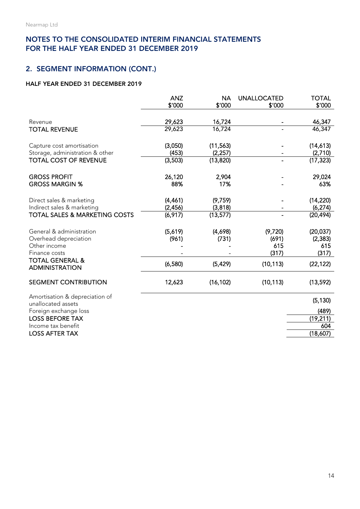## 2. SEGMENT INFORMATION (CONT.)

#### HALF YEAR ENDED 31 DECEMBER 2019

|                                                      | <b>ANZ</b> | <b>NA</b> | <b>UNALLOCATED</b> | <b>TOTAL</b> |
|------------------------------------------------------|------------|-----------|--------------------|--------------|
|                                                      | \$'000     | \$'000    | \$'000             | \$'000       |
|                                                      |            |           |                    |              |
| Revenue                                              | 29,623     | 16,724    |                    | 46,347       |
| <b>TOTAL REVENUE</b>                                 | 29,623     | 16,724    |                    | 46,347       |
| Capture cost amortisation                            | (3,050)    | (11, 563) |                    | (14,613)     |
| Storage, administration & other                      | (453)      | (2, 257)  |                    | (2,710)      |
| <b>TOTAL COST OF REVENUE</b>                         | (3,503)    | (13, 820) |                    | (17, 323)    |
| <b>GROSS PROFIT</b>                                  | 26,120     | 2,904     |                    | 29,024       |
| <b>GROSS MARGIN %</b>                                | 88%        | 17%       |                    | 63%          |
| Direct sales & marketing                             | (4,461)    | (9,759)   |                    | (14, 220)    |
| Indirect sales & marketing                           | (2,456)    | (3,818)   |                    | (6, 274)     |
| <b>TOTAL SALES &amp; MARKETING COSTS</b>             | (6,917)    | (13, 577) |                    | (20, 494)    |
| General & administration                             | (5,619)    | (4,698)   | (9,720)            | (20, 037)    |
| Overhead depreciation                                | (961)      | (731)     | (691)              | (2, 383)     |
| Other income                                         |            |           | 615                | 615          |
| Finance costs                                        |            |           | (317)              | (317)        |
| <b>TOTAL GENERAL &amp;</b><br><b>ADMINISTRATION</b>  | (6,580)    | (5, 429)  | (10, 113)          | (22, 122)    |
| <b>SEGMENT CONTRIBUTION</b>                          | 12,623     | (16, 102) | (10, 113)          | (13, 592)    |
| Amortisation & depreciation of<br>unallocated assets |            |           |                    | (5, 130)     |
| Foreign exchange loss                                |            |           |                    | (489)        |
| <b>LOSS BEFORE TAX</b>                               |            |           |                    | (19, 211)    |
| Income tax benefit                                   |            |           |                    | 604          |
| <b>LOSS AFTER TAX</b>                                |            |           |                    | (18,607)     |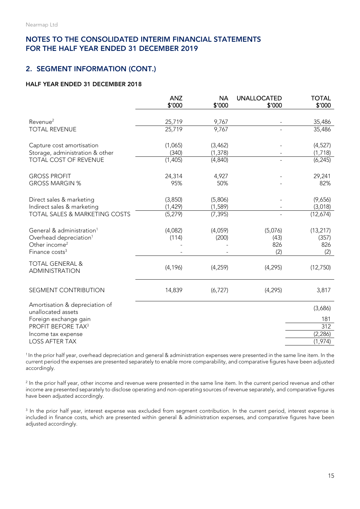#### 2. SEGMENT INFORMATION (CONT.)

#### HALF YEAR ENDED 31 DECEMBER 2018

|                                                                                                                                        | <b>ANZ</b><br>\$'000            | <b>NA</b><br>\$'000             | <b>UNALLOCATED</b><br>\$'000  | <b>TOTAL</b><br>\$′000           |
|----------------------------------------------------------------------------------------------------------------------------------------|---------------------------------|---------------------------------|-------------------------------|----------------------------------|
| Revenue <sup>2</sup>                                                                                                                   | 25,719                          | 9,767                           |                               | 35,486                           |
| <b>TOTAL REVENUE</b>                                                                                                                   | 25,719                          | 9,767                           |                               | 35,486                           |
| Capture cost amortisation<br>Storage, administration & other                                                                           | (1,065)<br>(340)                | (3, 462)<br>(1, 378)            |                               | (4,527)<br>(1,718)               |
| TOTAL COST OF REVENUE                                                                                                                  | (1,405)                         | (4, 840)                        |                               | (6, 245)                         |
| <b>GROSS PROFIT</b><br><b>GROSS MARGIN %</b>                                                                                           | 24,314<br>95%                   | 4,927<br>50%                    |                               | 29,241<br>82%                    |
| Direct sales & marketing<br>Indirect sales & marketing<br><b>TOTAL SALES &amp; MARKETING COSTS</b>                                     | (3,850)<br>(1, 429)<br>(5, 279) | (5,806)<br>(1, 589)<br>(7, 395) |                               | (9,656)<br>(3,018)<br>(12,674)   |
| General & administration <sup>1</sup><br>Overhead depreciation <sup>1</sup><br>Other income <sup>2</sup><br>Finance costs <sup>3</sup> | (4,082)<br>(114)                | (4,059)<br>(200)                | (5,076)<br>(43)<br>826<br>(2) | (13, 217)<br>(357)<br>826<br>(2) |
| <b>TOTAL GENERAL &amp;</b><br><b>ADMINISTRATION</b>                                                                                    | (4, 196)                        | (4, 259)                        | (4, 295)                      | (12,750)                         |
| SEGMENT CONTRIBUTION                                                                                                                   | 14,839                          | (6, 727)                        | (4, 295)                      | 3,817                            |
| Amortisation & depreciation of<br>unallocated assets                                                                                   |                                 |                                 |                               | (3,686)                          |
| Foreign exchange gain                                                                                                                  |                                 |                                 |                               | 181                              |
| PROFIT BEFORE TAX <sup>3</sup>                                                                                                         |                                 |                                 |                               | 312                              |
| Income tax expense<br><b>LOSS AFTER TAX</b>                                                                                            |                                 |                                 |                               | (2, 286)<br>(1, 974)             |

<sup>1</sup> In the prior half year, overhead depreciation and general & administration expenses were presented in the same line item. In the current period the expenses are presented separately to enable more comparability, and comparative figures have been adjusted accordingly.

<sup>2</sup> In the prior half year, other income and revenue were presented in the same line item. In the current period revenue and other income are presented separately to disclose operating and non-operating sources of revenue separately, and comparative figures have been adjusted accordingly.

<sup>3</sup> In the prior half year, interest expense was excluded from segment contribution. In the current period, interest expense is included in finance costs, which are presented within general & administration expenses, and comparative figures have been adjusted accordingly.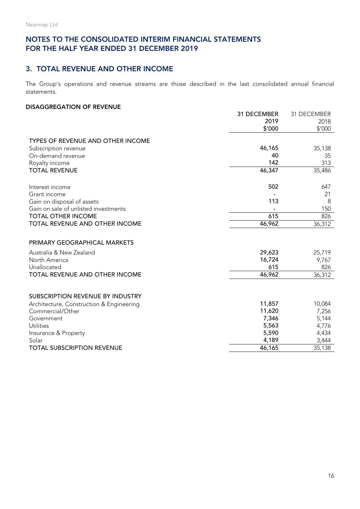#### 3. TOTAL REVENUE AND OTHER INCOME

The Group's operations and revenue streams are those described in the last consolidated annual financial statements.

#### DISAGGREGATION OF REVENUE

|                                            | 31 DECEMBER<br>2019<br>\$'000 | 31 DECEMBER<br>2018<br>\$'000 |
|--------------------------------------------|-------------------------------|-------------------------------|
| TYPES OF REVENUE AND OTHER INCOME          |                               |                               |
| Subscription revenue                       | 46,165                        | 35,138                        |
| On-demand revenue                          | 40                            | 35                            |
| Royalty income                             | 142                           | 313                           |
| <b>TOTAL REVENUE</b>                       | 46,347                        | 35,486                        |
| Interest income                            | 502                           | 647                           |
| Grant income                               |                               | 21                            |
| Gain on disposal of assets                 | 113                           | 8                             |
| Gain on sale of unlisted investments       |                               | 150                           |
| <b>TOTAL OTHER INCOME</b>                  | 615                           | 826                           |
| TOTAL REVENUE AND OTHER INCOME             | 46,962                        | 36,312                        |
| PRIMARY GEOGRAPHICAL MARKETS               |                               |                               |
| Australia & New Zealand                    | 29,623                        | 25,719                        |
| North America                              | 16,724                        | 9,767                         |
| Unallocated                                | 615                           | 826                           |
| TOTAL REVENUE AND OTHER INCOME             | 46,962                        | 36,312                        |
|                                            |                               |                               |
| SUBSCRIPTION REVENUE BY INDUSTRY           |                               |                               |
| Architecture, Construction & Engineering   | 11,857                        | 10,084                        |
| Commercial/Other                           | 11,620                        | 7,256                         |
| Government                                 | 7,346                         | 5,144                         |
| <b>Utilities</b>                           | 5,563<br>5,590                | 4,776                         |
| Insurance & Property                       | 4,189                         | 4,434<br>3,444                |
| Solar<br><b>TOTAL SUBSCRIPTION REVENUE</b> | 46,165                        |                               |
|                                            |                               | 35,138                        |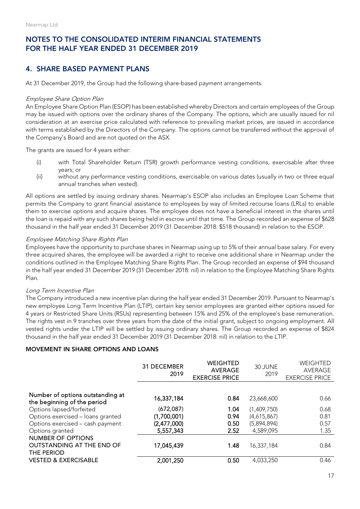## 4. SHARE BASED PAYMENT PLANS

At 31 December 2019, the Group had the following share-based payment arrangements.

#### Employee Share Option Plan

An Employee Share Option Plan (ESOP) has been established whereby Directors and certain employees of the Group may be issued with options over the ordinary shares of the Company. The options, which are usually issued for nil consideration at an exercise price calculated with reference to prevailing market prices, are issued in accordance with terms established by the Directors of the Company. The options cannot be transferred without the approval of the Company's Board and are not quoted on the ASX.

The grants are issued for 4 years either:

- (i) with Total Shareholder Return (TSR) growth performance vesting conditions, exercisable after three years; or
- (ii) without any performance vesting conditions, exercisable on various dates (usually in two or three equal annual tranches when vested).

All options are settled by issuing ordinary shares. Nearmap's ESOP also includes an Employee Loan Scheme that permits the Company to grant financial assistance to employees by way of limited recourse loans (LRLs) to enable them to exercise options and acquire shares. The employee does not have a beneficial interest in the shares until the loan is repaid with any such shares being held in escrow until that time. The Group recorded an expense of \$628 thousand in the half year ended 31 December 2019 (31 December 2018: \$518 thousand) in relation to the ESOP.

#### Employee Matching Share Rights Plan

Employees have the opportunity to purchase shares in Nearmap using up to 5% of their annual base salary. For every three acquired shares, the employee will be awarded a right to receive one additional share in Nearmap under the conditions outlined in the Employee Matching Share Rights Plan. The Group recorded an expense of \$94 thousand in the half year ended 31 December 2019 (31 December 2018: nil) in relation to the Employee Matching Share Rights Plan.

#### Long Term Incentive Plan

The Company introduced a new incentive plan during the half year ended 31 December 2019. Pursuant to Nearmap's new employee Long Term Incentive Plan (LTIP), certain key senior employees are granted either options issued for 4 years or Restricted Share Units (RSUs) representing between 15% and 25% of the employee's base remuneration. The rights vest in 9 tranches over three years from the date of the initial grant, subject to ongoing employment. All vested rights under the LTIP will be settled by issuing ordinary shares. The Group recorded an expense of \$824 thousand in the half year ended 31 December 2019 (31 December 2018: nil) in relation to the LTIP.

#### MOVEMENT IN SHARE OPTIONS AND LOANS

|                                                                 | 31 DECEMBER<br>2019 | <b>WEIGHTED</b><br><b>AVERAGE</b><br><b>EXERCISE PRICE</b> | 30 JUNE<br>2019 | WEIGHTED<br>AVERAGE<br><b>EXERCISE PRICE</b> |
|-----------------------------------------------------------------|---------------------|------------------------------------------------------------|-----------------|----------------------------------------------|
|                                                                 |                     |                                                            |                 |                                              |
| Number of options outstanding at<br>the beginning of the period | 16,337,184          | 0.84                                                       | 23,668,600      | 0.66                                         |
| Options lapsed/forfeited                                        | (672,087)           | 1.04                                                       | (1,409,750)     | 0.68                                         |
| Options exercised - loans granted                               | (1,700,001)         | 0.94                                                       | (4,615,867)     | 0.81                                         |
| Options exercised - cash payment                                | (2,477,000)         | 0.50                                                       | (5,894,894)     | 0.57                                         |
| Options granted                                                 | 5,557,343           | 2.52                                                       | 4,589,095       | 1.35                                         |
| NUMBER OF OPTIONS                                               |                     |                                                            |                 |                                              |
| <b>OUTSTANDING AT THE END OF</b><br>THE PERIOD                  | 17,045,439          | 1.48                                                       | 16,337,184      | 0.84                                         |
| <b>VESTED &amp; EXERCISABLE</b>                                 | 2,001,250           | 0.50                                                       | 4,033,250       | 0.46                                         |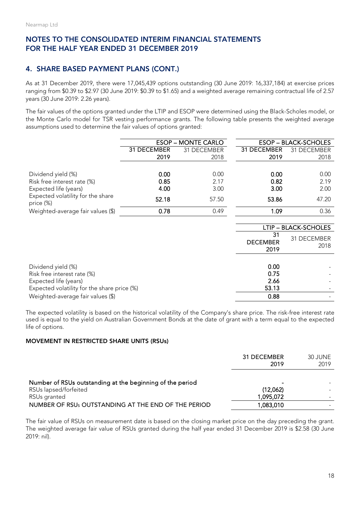## 4. SHARE BASED PAYMENT PLANS (CONT.)

As at 31 December 2019, there were 17,045,439 options outstanding (30 June 2019: 16,337,184) at exercise prices ranging from \$0.39 to \$2.97 (30 June 2019: \$0.39 to \$1.65) and a weighted average remaining contractual life of 2.57 years (30 June 2019: 2.26 years).

The fair values of the options granted under the LTIP and ESOP were determined using the Black-Scholes model, or the Monte Carlo model for TSR vesting performance grants. The following table presents the weighted average assumptions used to determine the fair values of options granted:

|                                                | <b>ESOP - MONTE CARLO</b> |             |             | <b>ESOP - BLACK-SCHOLES</b> |
|------------------------------------------------|---------------------------|-------------|-------------|-----------------------------|
|                                                | 31 DECEMBER               | 31 DECEMBER | 31 DECEMBER | 31 DECEMBER                 |
|                                                | 2019                      | 2018        | 2019        | 2018                        |
|                                                |                           |             |             |                             |
| Dividend yield (%)                             | 0.00                      | 0.00        | 0.00        | 0.00                        |
| Risk free interest rate (%)                    | 0.85                      | 2.17        | 0.82        | 2.19                        |
| Expected life (years)                          | 4.00                      | 3.00        | 3.00        | 2.00                        |
| Expected volatility for the share<br>price (%) | 52.18                     | 57.50       | 53.86       | 47.20                       |
| Weighted-average fair values (\$)              | 0.78                      | 0.49        | 1.09        | 0.36                        |

|                                                                                                                           |                               | LTIP - BLACK-SCHOLES |
|---------------------------------------------------------------------------------------------------------------------------|-------------------------------|----------------------|
|                                                                                                                           | 31<br><b>DECEMBER</b><br>2019 | 31 DECEMBER<br>2018  |
| Dividend yield (%)<br>Risk free interest rate (%)<br>Expected life (years)<br>Expected volatility for the share price (%) | 0.00<br>0.75<br>2.66<br>53.13 |                      |
| Weighted-average fair values (\$)                                                                                         | 0.88                          |                      |

The expected volatility is based on the historical volatility of the Company's share price. The risk-free interest rate used is equal to the yield on Australian Government Bonds at the date of grant with a term equal to the expected life of options.

#### MOVEMENT IN RESTRICTED SHARE UNITS (RSUs)

|                                                           | 31 DECEMBER<br>2019   | 30 JUNE<br>2019 |
|-----------------------------------------------------------|-----------------------|-----------------|
| Number of RSUs outstanding at the beginning of the period | -                     |                 |
| RSUs lapsed/forfeited<br>RSUs granted                     | (12,062)<br>1,095,072 |                 |
| NUMBER OF RSUs OUTSTANDING AT THE END OF THE PERIOD       | 1,083,010             |                 |

The fair value of RSUs on measurement date is based on the closing market price on the day preceding the grant. The weighted average fair value of RSUs granted during the half year ended 31 December 2019 is \$2.58 (30 June 2019: nil).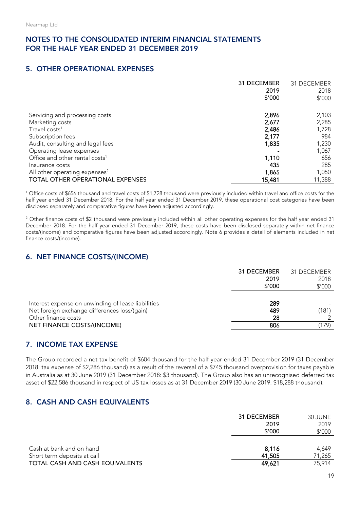## 5. OTHER OPERATIONAL EXPENSES

|                                            | 31 DECEMBER<br>2019 | 31 DECEMBER<br>2018 |
|--------------------------------------------|---------------------|---------------------|
|                                            | \$′000              | \$'000              |
|                                            |                     |                     |
| Servicing and processing costs             | 2,896               | 2,103               |
| Marketing costs                            | 2,677               | 2,285               |
| Travel costs <sup>1</sup>                  | 2,486               | 1,728               |
| Subscription fees                          | 2,177               | 984                 |
| Audit, consulting and legal fees           | 1,835               | 1,230               |
| Operating lease expenses                   |                     | 1,067               |
| Office and other rental costs <sup>1</sup> | 1,110               | 656                 |
| Insurance costs                            | 435                 | 285                 |
| All other operating expenses <sup>2</sup>  | 1,865               | 1,050               |
| <b>TOTAL OTHER OPERATIONAL EXPENSES</b>    | 15,481              | 11,388              |

<sup>1</sup> Office costs of \$656 thousand and travel costs of \$1,728 thousand were previously included within travel and office costs for the half year ended 31 December 2018. For the half year ended 31 December 2019, these operational cost categories have been disclosed separately and comparative figures have been adjusted accordingly.

<sup>2</sup> Other finance costs of \$2 thousand were previously included within all other operating expenses for the half year ended 31 December 2018. For the half year ended 31 December 2019, these costs have been disclosed separately within net finance costs/(income) and comparative figures have been adjusted accordingly. Note 6 provides a detail of elements included in net finance costs/(income).

## 6. NET FINANCE COSTS/(INCOME)

|                                                                                                                           | 31 DECEMBER<br>2019<br>\$′000 | 31 DECEMBER<br>2018<br>\$'000 |
|---------------------------------------------------------------------------------------------------------------------------|-------------------------------|-------------------------------|
| Interest expense on unwinding of lease liabilities<br>Net foreign exchange differences loss/(gain)<br>Other finance costs | 289<br>489<br>28              | (181)                         |
| NET FINANCE COSTS/(INCOME)                                                                                                | 806                           | (179)                         |

## 7. INCOME TAX EXPENSE

The Group recorded a net tax benefit of \$604 thousand for the half year ended 31 December 2019 (31 December 2018: tax expense of \$2,286 thousand) as a result of the reversal of a \$745 thousand overprovision for taxes payable in Australia as at 30 June 2019 (31 December 2018: \$3 thousand). The Group also has an unrecognised deferred tax asset of \$22,586 thousand in respect of US tax losses as at 31 December 2019 (30 June 2019: \$18,288 thousand).

## 8. CASH AND CASH EQUIVALENTS

|                                 | 31 DECEMBER<br>2019<br>\$′000 | 30 JUNE<br>2019<br>\$'000 |
|---------------------------------|-------------------------------|---------------------------|
| Cash at bank and on hand        | 8,116                         | 4,649                     |
| Short term deposits at call     | 41,505                        | 71,265                    |
| TOTAL CASH AND CASH EQUIVALENTS | 49,621                        | 75,914                    |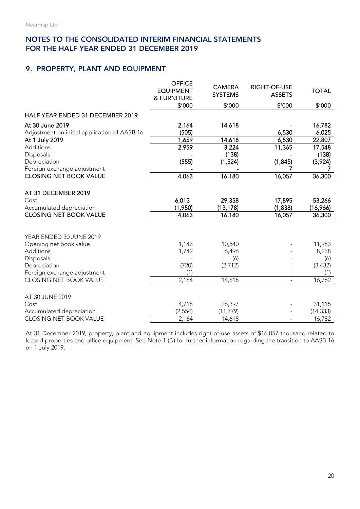#### 9. PROPERTY, PLANT AND EQUIPMENT

|                                                                                                                            | <b>OFFICE</b><br><b>EQUIPMENT</b><br>& FURNITURE<br>\$'000 | <b>CAMERA</b><br><b>SYSTEMS</b><br>\$'000 | RIGHT-OF-USE<br><b>ASSETS</b><br>\$'000 | <b>TOTAL</b><br>\$′000                    |
|----------------------------------------------------------------------------------------------------------------------------|------------------------------------------------------------|-------------------------------------------|-----------------------------------------|-------------------------------------------|
|                                                                                                                            |                                                            |                                           |                                         |                                           |
| HALF YEAR ENDED 31 DECEMBER 2019                                                                                           |                                                            |                                           |                                         |                                           |
| At 30 June 2019                                                                                                            | 2,164                                                      | 14,618                                    |                                         | 16,782                                    |
| Adjustment on initial application of AASB 16                                                                               | (505)                                                      |                                           | 6,530                                   | 6,025                                     |
| At 1 July 2019                                                                                                             | 1,659                                                      | 14,618                                    | 6,530                                   | 22,807                                    |
| Additions                                                                                                                  | 2,959                                                      | 3,224                                     | 11,365                                  | 17,548                                    |
| Disposals                                                                                                                  |                                                            | (138)                                     |                                         | (138)                                     |
| Depreciation                                                                                                               | (555)                                                      | (1,524)                                   | (1, 845)                                | (3,924)                                   |
| Foreign exchange adjustment                                                                                                |                                                            |                                           |                                         |                                           |
| <b>CLOSING NET BOOK VALUE</b>                                                                                              | 4,063                                                      | 16,180                                    | 16,057                                  | 36,300                                    |
| AT 31 DECEMBER 2019<br>Cost<br>Accumulated depreciation                                                                    | 6,013<br>(1,950)                                           | 29,358<br>(13, 178)                       | 17,895<br>(1,838)                       | 53,266<br>(16,966)                        |
| <b>CLOSING NET BOOK VALUE</b>                                                                                              | 4,063                                                      | 16,180                                    | 16,057                                  | 36,300                                    |
| YEAR ENDED 30 JUNE 2019<br>Opening net book value<br>Additions<br>Disposals<br>Depreciation<br>Foreign exchange adjustment | 1,143<br>1,742<br>(720)<br>(1)                             | 10,840<br>6,496<br>(6)<br>(2,712)         |                                         | 11,983<br>8,238<br>(6)<br>(3, 432)<br>(1) |
| CLOSING NET BOOK VALUE                                                                                                     | 2,164                                                      | 14,618                                    | $\blacksquare$                          | 16,782                                    |
| AT 30 JUNE 2019<br>Cost<br>Accumulated depreciation                                                                        | 4,718<br>(2, 554)                                          | 26,397<br>(11, 779)                       |                                         | 31,115<br>(14, 333)                       |
| CLOSING NET BOOK VALUE                                                                                                     | 2,164                                                      | 14,618                                    | $\equiv$                                | 16,782                                    |

At 31 December 2019, property, plant and equipment includes right-of-use assets of \$16,057 thousand related to leased properties and office equipment. See Note 1 (D) for further information regarding the transition to AASB 16 on 1 July 2019.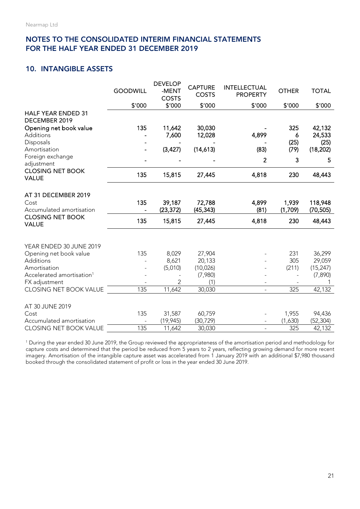## 10. INTANGIBLE ASSETS

|                                            | <b>GOODWILL</b> | <b>DEVELOP</b><br>-MENT<br><b>COSTS</b> | <b>CAPTURE</b><br><b>COSTS</b> | <b>INTELLECTUAL</b><br><b>PROPERTY</b> | <b>OTHER</b>     | <b>TOTAL</b>         |
|--------------------------------------------|-----------------|-----------------------------------------|--------------------------------|----------------------------------------|------------------|----------------------|
|                                            | \$'000          | \$'000                                  | \$'000                         | \$'000                                 | \$'000           | \$'000               |
| <b>HALF YEAR ENDED 31</b><br>DECEMBER 2019 |                 |                                         |                                |                                        |                  |                      |
| Opening net book value                     | 135             | 11,642                                  | 30,030                         |                                        | 325              | 42,132               |
| Additions                                  |                 | 7,600                                   | 12,028                         | 4,899                                  | 6                | 24,533               |
| Disposals                                  |                 |                                         |                                |                                        | (25)             | (25)                 |
| Amortisation                               |                 | (3, 427)                                | (14,613)                       | (83)                                   | (79)             | (18, 202)            |
| Foreign exchange<br>adjustment             |                 |                                         |                                | 2                                      | 3                | 5                    |
| <b>CLOSING NET BOOK</b><br><b>VALUE</b>    | 135             | 15,815                                  | 27,445                         | 4,818                                  | 230              | 48,443               |
| AT 31 DECEMBER 2019                        |                 |                                         |                                |                                        |                  |                      |
| Cost<br>Accumulated amortisation           | 135             | 39,187<br>(23, 372)                     | 72,788<br>(45, 343)            | 4,899<br>(81)                          | 1,939<br>(1,709) | 118,948<br>(70, 505) |
| <b>CLOSING NET BOOK</b><br><b>VALUE</b>    | 135             | 15,815                                  | 27,445                         | 4,818                                  | 230              | 48,443               |
|                                            |                 |                                         |                                |                                        |                  |                      |
| YEAR ENDED 30 JUNE 2019                    |                 |                                         |                                |                                        |                  |                      |
| Opening net book value<br>Additions        | 135             | 8,029<br>8,621                          | 27,904<br>20,133               |                                        | 231<br>305       | 36,299<br>29,059     |
| Amortisation                               |                 | (5,010)                                 | (10, 026)                      |                                        | (211)            | (15, 247)            |
| Accelerated amortisation <sup>1</sup>      |                 |                                         | (7,980)                        |                                        |                  | (7, 890)             |
| FX adjustment                              |                 | $\overline{2}$                          | (1)                            |                                        |                  |                      |
| CLOSING NET BOOK VALUE                     | 135             | 11,642                                  | 30,030                         | $\overline{\phantom{a}}$               | 325              | 42,132               |
| AT 30 JUNE 2019                            |                 |                                         |                                |                                        |                  |                      |
| Cost                                       | 135             | 31,587                                  | 60,759                         |                                        | 1,955            | 94,436               |
| Accumulated amortisation                   |                 | (19, 945)                               | (30, 729)                      |                                        | (1,630)          | (52, 304)            |
| CLOSING NET BOOK VALUE                     | 135             | 11,642                                  | 30,030                         |                                        | 325              | 42,132               |

<sup>1</sup> During the year ended 30 June 2019, the Group reviewed the appropriateness of the amortisation period and methodology for capture costs and determined that the period be reduced from 5 years to 2 years, reflecting growing demand for more recent imagery. Amortisation of the intangible capture asset was accelerated from 1 January 2019 with an additional \$7,980 thousand booked through the consolidated statement of profit or loss in the year ended 30 June 2019.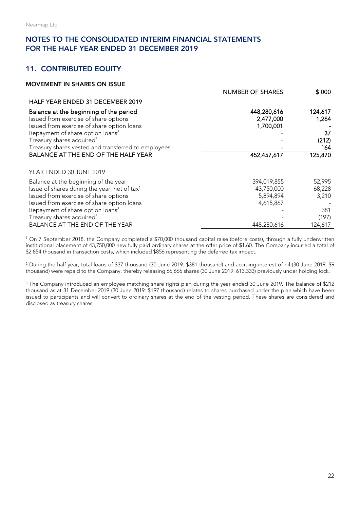## 11. CONTRIBUTED EQUITY

| <b>MOVEMENT IN SHARES ON ISSUE</b>                       |                         |         |
|----------------------------------------------------------|-------------------------|---------|
|                                                          | <b>NUMBER OF SHARES</b> | \$'000  |
| HALF YEAR ENDED 31 DECEMBER 2019                         |                         |         |
| Balance at the beginning of the period                   | 448,280,616             | 124,617 |
| Issued from exercise of share options                    | 2,477,000               | 1,264   |
| Issued from exercise of share option loans               | 1,700,001               |         |
| Repayment of share option loans <sup>2</sup>             |                         | 37      |
| Treasury shares acquired <sup>3</sup>                    |                         | (212)   |
| Treasury shares vested and transferred to employees      |                         | 164     |
| BALANCE AT THE END OF THE HALF YEAR                      | 452,457,617             | 125,870 |
|                                                          |                         |         |
| YEAR ENDED 30 JUNE 2019                                  |                         |         |
| Balance at the beginning of the year                     | 394,019,855             | 52,995  |
| Issue of shares during the year, net of tax <sup>1</sup> | 43,750,000              | 68,228  |
| Issued from exercise of share options                    | 5,894,894               | 3,210   |
| Issued from exercise of share option loans               | 4,615,867               |         |
| Repayment of share option loans <sup>2</sup>             |                         | 381     |
| Treasury shares acquired <sup>3</sup>                    |                         | (197)   |
| <b>BALANCE AT THE END OF THE YEAR</b>                    | 448,280,616             | 124,617 |

<sup>1</sup> On 7 September 2018, the Company completed a \$70,000 thousand capital raise (before costs), through a fully underwritten institutional placement of 43,750,000 new fully paid ordinary shares at the offer price of \$1.60. The Company incurred a total of \$2,854 thousand in transaction costs, which included \$856 representing the deferred tax impact.

<sup>2</sup> During the half year, total loans of \$37 thousand (30 June 2019: \$381 thousand) and accruing interest of nil (30 June 2019: \$9 thousand) were repaid to the Company, thereby releasing 66,666 shares (30 June 2019: 613,333) previously under holding lock.

<sup>3</sup> The Company introduced an employee matching share rights plan during the year ended 30 June 2019. The balance of \$212 thousand as at 31 December 2019 (30 June 2019: \$197 thousand) relates to shares purchased under the plan which have been issued to participants and will convert to ordinary shares at the end of the vesting period. These shares are considered and disclosed as treasury shares.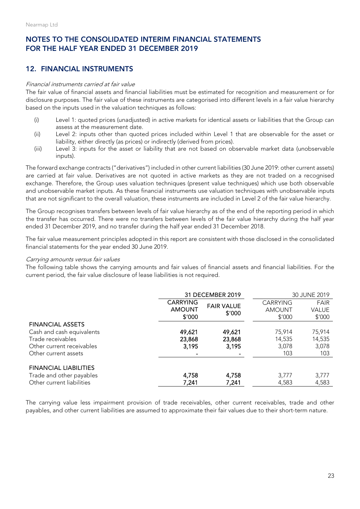#### 12. FINANCIAL INSTRUMENTS

#### Financial instruments carried at fair value

The fair value of financial assets and financial liabilities must be estimated for recognition and measurement or for disclosure purposes. The fair value of these instruments are categorised into different levels in a fair value hierarchy based on the inputs used in the valuation techniques as follows:

- (i) Level 1: quoted prices (unadjusted) in active markets for identical assets or liabilities that the Group can assess at the measurement date.
- (ii) Level 2: inputs other than quoted prices included within Level 1 that are observable for the asset or liability, either directly (as prices) or indirectly (derived from prices).
- (iii) Level 3: inputs for the asset or liability that are not based on observable market data (unobservable inputs).

The forward exchange contracts ("derivatives") included in other current liabilities (30 June 2019: other current assets) are carried at fair value. Derivatives are not quoted in active markets as they are not traded on a recognised exchange. Therefore, the Group uses valuation techniques (present value techniques) which use both observable and unobservable market inputs. As these financial instruments use valuation techniques with unobservable inputs that are not significant to the overall valuation, these instruments are included in Level 2 of the fair value hierarchy.

The Group recognises transfers between levels of fair value hierarchy as of the end of the reporting period in which the transfer has occurred. There were no transfers between levels of the fair value hierarchy during the half year ended 31 December 2019, and no transfer during the half year ended 31 December 2018.

The fair value measurement principles adopted in this report are consistent with those disclosed in the consolidated financial statements for the year ended 30 June 2019.

#### Carrying amounts versus fair values

The following table shows the carrying amounts and fair values of financial assets and financial liabilities. For the current period, the fair value disclosure of lease liabilities is not required.

|                                                                                                                                | 31 DECEMBER 2019                           |                             | 30 JUNE 2019                               |                                       |
|--------------------------------------------------------------------------------------------------------------------------------|--------------------------------------------|-----------------------------|--------------------------------------------|---------------------------------------|
|                                                                                                                                | <b>CARRYING</b><br><b>AMOUNT</b><br>\$′000 | <b>FAIR VALUE</b><br>\$′000 | <b>CARRYING</b><br><b>AMOUNT</b><br>\$'000 | <b>FAIR</b><br><b>VALUE</b><br>\$'000 |
| <b>FINANCIAL ASSETS</b><br>Cash and cash equivalents<br>Trade receivables<br>Other current receivables<br>Other current assets | 49,621<br>23,868<br>3,195                  | 49,621<br>23,868<br>3,195   | 75,914<br>14,535<br>3,078<br>103           | 75,914<br>14,535<br>3,078<br>103      |
| <b>FINANCIAL LIABILITIES</b><br>Trade and other payables<br>Other current liabilities                                          | 4,758<br>7,241                             | 4,758<br>7,241              | 3,777<br>4,583                             | 3,777<br>4,583                        |

The carrying value less impairment provision of trade receivables, other current receivables, trade and other payables, and other current liabilities are assumed to approximate their fair values due to their short-term nature.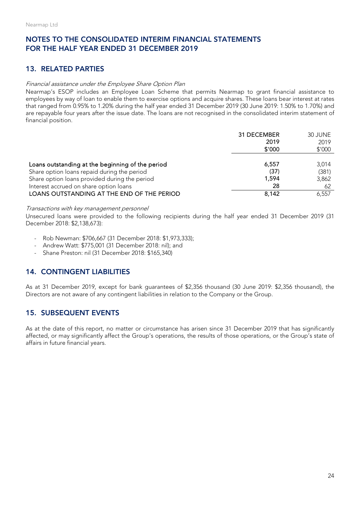## 13. RELATED PARTIES

#### Financial assistance under the Employee Share Option Plan

Nearmap's ESOP includes an Employee Loan Scheme that permits Nearmap to grant financial assistance to employees by way of loan to enable them to exercise options and acquire shares. These loans bear interest at rates that ranged from 0.95% to 1.20% during the half year ended 31 December 2019 (30 June 2019: 1.50% to 1.70%) and are repayable four years after the issue date. The loans are not recognised in the consolidated interim statement of financial position.

|                                                  | 31 DECEMBER<br>2019<br>\$′000 | 30 JUNE<br>2019<br>\$'000 |
|--------------------------------------------------|-------------------------------|---------------------------|
| Loans outstanding at the beginning of the period | 6.557                         | 3,014                     |
| Share option loans repaid during the period      | (37)                          | (381)                     |
| Share option loans provided during the period    | 1,594                         | 3,862                     |
| Interest accrued on share option loans           | 28                            | 62                        |
| LOANS OUTSTANDING AT THE END OF THE PERIOD       | 8.142                         | 6,557                     |

#### Transactions with key management personnel

Unsecured loans were provided to the following recipients during the half year ended 31 December 2019 (31 December 2018: \$2,138,673):

- Rob Newman: \$706,667 (31 December 2018: \$1,973,333);
- Andrew Watt: \$775,001 (31 December 2018: nil); and
- Shane Preston: nil (31 December 2018: \$165,340)

## 14. CONTINGENT LIABILITIES

As at 31 December 2019, except for bank guarantees of \$2,356 thousand (30 June 2019: \$2,356 thousand), the Directors are not aware of any contingent liabilities in relation to the Company or the Group.

## 15. SUBSEQUENT EVENTS

As at the date of this report, no matter or circumstance has arisen since 31 December 2019 that has significantly affected, or may significantly affect the Group's operations, the results of those operations, or the Group's state of affairs in future financial years.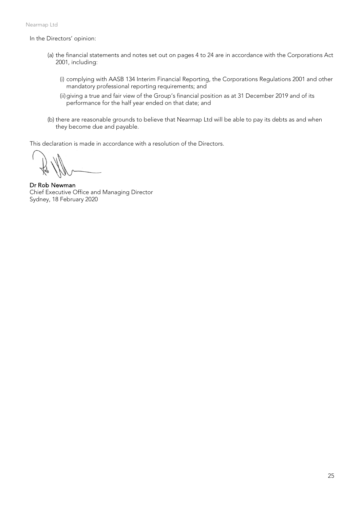In the Directors' opinion:

- (a) the financial statements and notes set out on pages 4 to 24 are in accordance with the Corporations Act 2001, including:
	- (i) complying with AASB 134 Interim Financial Reporting, the Corporations Regulations 2001 and other mandatory professional reporting requirements; and
	- (ii)giving a true and fair view of the Group's financial position as at 31 December 2019 and of its performance for the half year ended on that date; and
- (b) there are reasonable grounds to believe that Nearmap Ltd will be able to pay its debts as and when they become due and payable.

This declaration is made in accordance with a resolution of the Directors.

Dr Rob Newman Chief Executive Office and Managing Director Sydney, 18 February 2020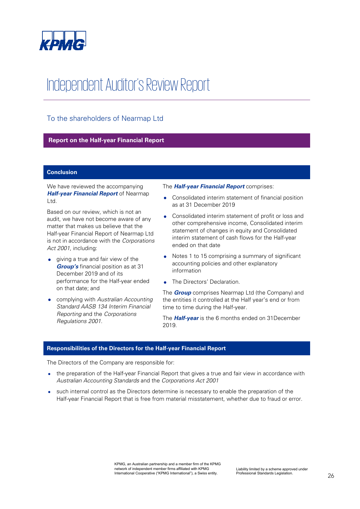

## Independent Auditor's Review Report

## To the shareholders of Nearmap Ltd

#### **Report on the Half-year Financial Report**

#### **Conclusion**

We have reviewed the accompanying *Half-year Financial Report* of Nearmap Ltd.

Based on our review, which is not an audit, we have not become aware of any matter that makes us believe that the Half-year Financial Report of Nearmap Ltd is not in accordance with the *Corporations Act 2001*, including:

- giving a true and fair view of the *Group's* financial position as at 31 December 2019 and of its performance for the Half-year ended on that date; and
- complying with *Australian Accounting Standard AASB 134 Interim Financial Reporting* and the *Corporations Regulations 2001*.

The *Half-year Financial Report* comprises:

- Consolidated interim statement of financial position as at 31 December 2019
- Consolidated interim statement of profit or loss and other comprehensive income, Consolidated interim statement of changes in equity and Consolidated interim statement of cash flows for the Half-year ended on that date
- Notes 1 to 15 comprising a summary of significant accounting policies and other explanatory information
- The Directors' Declaration.

The *Group* comprises Nearmap Ltd (the Company) and the entities it controlled at the Half year's end or from time to time during the Half-year.

The *Half-year* is the 6 months ended on 31December 2019.

#### **Responsibilities of the Directors for the Half-year Financial Report**

The Directors of the Company are responsible for:

- the preparation of the Half-year Financial Report that gives a true and fair view in accordance with *Australian Accounting Standards* and the *Corporations Act 2001*
- such internal control as the Directors determine is necessary to enable the preparation of the Half-year Financial Report that is free from material misstatement, whether due to fraud or error.